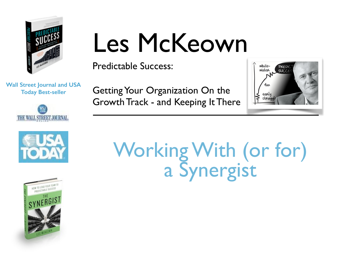

### Les McKeown

Predictable Success:

**Wall Street Journal and USA Today Best-seller**







Getting Your Organization On the Growth Track - and Keeping It There



### Working With (or for) a Synergist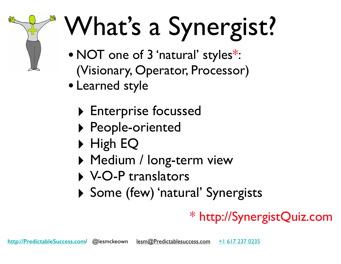# What's a Synergist?

- NOT one of 3 'natural' styles\*: (Visionary, Operator, Processor)
- Learned style
	- ‣ Enterprise focussed
	- ‣ People-oriented
	- ‣ High EQ
	- ▶ Medium / long-term view
	- ‣ V-O-P translators
	- ‣ Some (few) 'natural' Synergists

#### \* http://SynergistQuiz.com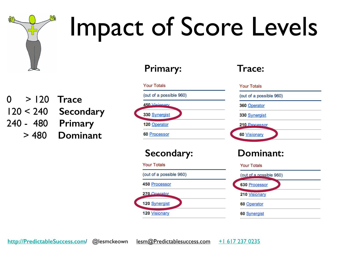

### Impact of Score Levels

**Primary:**

0 > 120 **Trace** 120 < 240 **Secondary** 240 - 480 **Primary** > 480 **Dominant**

| <b>Your Totals</b>      | <b>Your Totals</b>      |
|-------------------------|-------------------------|
| (out of a possible 960) | (out of a possible 960) |
| $450$ <i>Vieignary</i>  | 360 Operator            |
| 330 Synergist           | 330 Synergist           |
| 120 Operator            | 210 Processor           |
|                         |                         |
| 60 Processor            | 60 Visionary            |
| <b>Secondary:</b>       | Dominant:               |
| <b>Your Totals</b>      | <b>Your Totals</b>      |
| (out of a possible 960) | (out of a possible 960) |
| 450 Processor           | 630 Processor           |
| 270 Operator            | 210 Visionary           |

**Trace:**

**60 Synergist** 

**120 Visionary**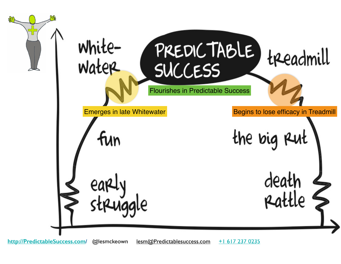White-<br>Water PREDICTABLE) treadmill **SUCCESS** Flourishes in Predictable SuccessEmerges in late Whitewater **Begins to lose efficacy in Treadmill** the big R fun death early<br>struggle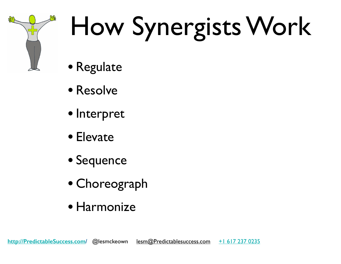

### How Synergists Work

- Regulate
- Resolve
- Interpret
- Elevate
- Sequence
- Choreograph
- Harmonize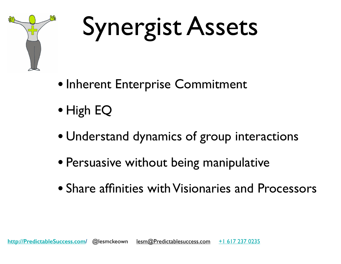

### Synergist Assets

- Inherent Enterprise Commitment
- High EQ
- Understand dynamics of group interactions
- Persuasive without being manipulative
- Share affinities with Visionaries and Processors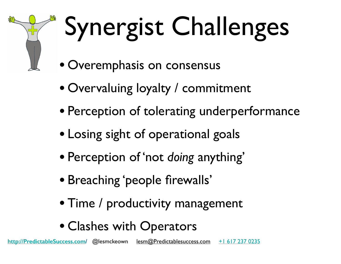

## Synergist Challenges

- Overemphasis on consensus
- Overvaluing loyalty / commitment
- Perception of tolerating underperformance
- Losing sight of operational goals
- Perception of 'not *doing* anything'
- Breaching 'people firewalls'
- Time / productivity management
- Clashes with Operators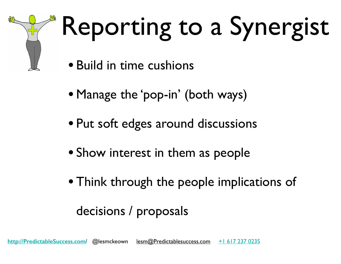

### Reporting to a Synergist

- Build in time cushions
- Manage the 'pop-in' (both ways)
- Put soft edges around discussions
- Show interest in them as people
- Think through the people implications of

#### decisions / proposals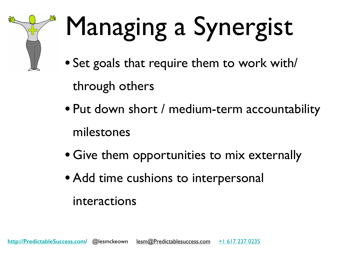

### Managing a Synergist

• Set goals that require them to work with/

through others

- Put down short / medium-term accountability milestones
- Give them opportunities to mix externally
- Add time cushions to interpersonal

#### interactions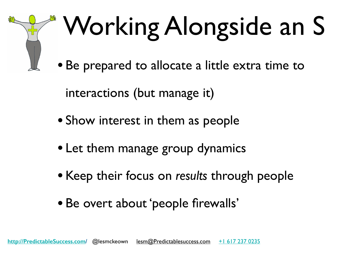## Working Alongside an S

• Be prepared to allocate a little extra time to

interactions (but manage it)

- Show interest in them as people
- Let them manage group dynamics
- Keep their focus on *results* through people
- Be overt about 'people firewalls'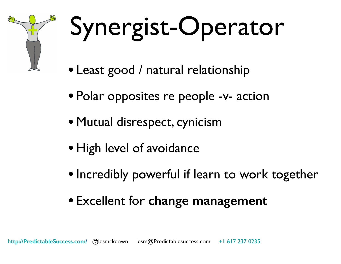

### Synergist-Operator

- Least good / natural relationship
- Polar opposites re people -v- action
- Mutual disrespect, cynicism
- High level of avoidance
- Incredibly powerful if learn to work together
- Excellent for **change management**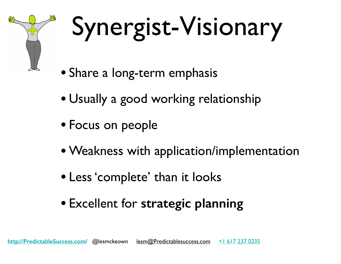

### Synergist-Visionary

- Share a long-term emphasis
- Usually a good working relationship
- Focus on people
- Weakness with application/implementation
- Less 'complete' than it looks
- Excellent for **strategic planning**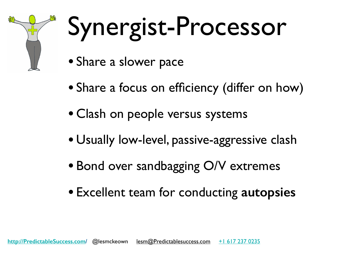

### Synergist-Processor

- Share a slower pace
- Share a focus on efficiency (differ on how)
- Clash on people versus systems
- Usually low-level, passive-aggressive clash
- Bond over sandbagging O/V extremes
- Excellent team for conducting **autopsies**